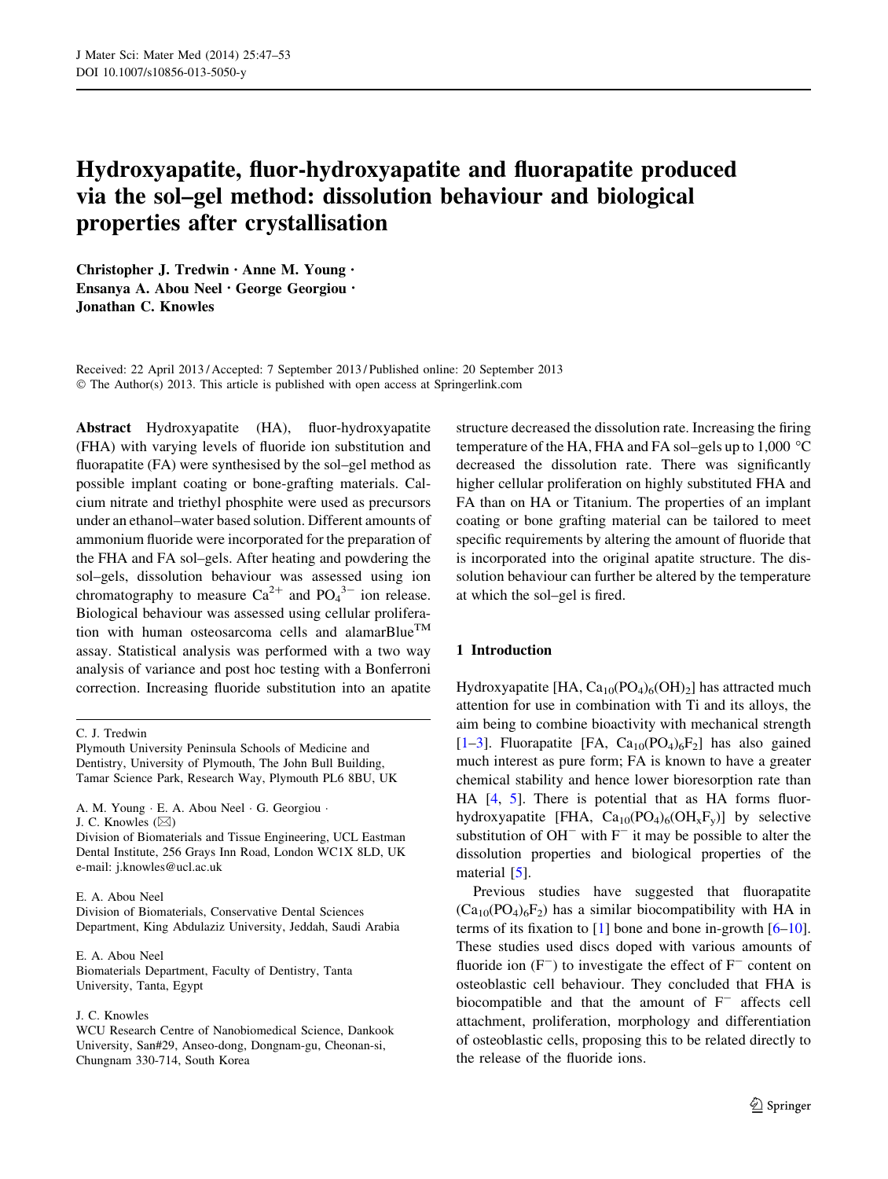# Hydroxyapatite, fluor-hydroxyapatite and fluorapatite produced via the sol–gel method: dissolution behaviour and biological properties after crystallisation

Christopher J. Tredwin • Anne M. Young • Ensanya A. Abou Neel • George Georgiou • Jonathan C. Knowles

Received: 22 April 2013 / Accepted: 7 September 2013 / Published online: 20 September 2013 © The Author(s) 2013. This article is published with open access at Springerlink.com

Abstract Hydroxyapatite (HA), fluor-hydroxyapatite (FHA) with varying levels of fluoride ion substitution and fluorapatite (FA) were synthesised by the sol–gel method as possible implant coating or bone-grafting materials. Calcium nitrate and triethyl phosphite were used as precursors under an ethanol–water based solution. Different amounts of ammonium fluoride were incorporated for the preparation of the FHA and FA sol–gels. After heating and powdering the sol–gels, dissolution behaviour was assessed using ion chromatography to measure  $Ca^{2+}$  and  $PO_4^{3-}$  ion release. Biological behaviour was assessed using cellular proliferation with human osteosarcoma cells and alamarBlue<sup>TM</sup> assay. Statistical analysis was performed with a two way analysis of variance and post hoc testing with a Bonferroni correction. Increasing fluoride substitution into an apatite

# E. A. Abou Neel

Division of Biomaterials, Conservative Dental Sciences Department, King Abdulaziz University, Jeddah, Saudi Arabia

E. A. Abou Neel Biomaterials Department, Faculty of Dentistry, Tanta University, Tanta, Egypt

## J. C. Knowles

WCU Research Centre of Nanobiomedical Science, Dankook University, San#29, Anseo-dong, Dongnam-gu, Cheonan-si, Chungnam 330-714, South Korea

structure decreased the dissolution rate. Increasing the firing temperature of the HA, FHA and FA sol–gels up to  $1,000$  °C decreased the dissolution rate. There was significantly higher cellular proliferation on highly substituted FHA and FA than on HA or Titanium. The properties of an implant coating or bone grafting material can be tailored to meet specific requirements by altering the amount of fluoride that is incorporated into the original apatite structure. The dissolution behaviour can further be altered by the temperature at which the sol–gel is fired.

# 1 Introduction

Hydroxyapatite [HA,  $Ca_{10}(PO_4)_6(OH)_2$ ] has attracted much attention for use in combination with Ti and its alloys, the aim being to combine bioactivity with mechanical strength [\[1–3](#page-6-0)]. Fluorapatite [FA,  $Ca_{10}(PO_4)_6F_2$ ] has also gained much interest as pure form; FA is known to have a greater chemical stability and hence lower bioresorption rate than HA [\[4](#page-6-0), [5](#page-6-0)]. There is potential that as HA forms fluorhydroxyapatite [FHA,  $Ca_{10}(PO_4)_6(OH_xF_y)$ ] by selective substitution of  $OH^-$  with  $F^-$  it may be possible to alter the dissolution properties and biological properties of the material [[5\]](#page-6-0).

Previous studies have suggested that fluorapatite  $(Ca_{10}(PO_4)_6F_2)$  has a similar biocompatibility with HA in terms of its fixation to [[1\]](#page-6-0) bone and bone in-growth  $[6–10]$  $[6–10]$ . These studies used discs doped with various amounts of fluoride ion  $(F^-)$  to investigate the effect of  $F^-$  content on osteoblastic cell behaviour. They concluded that FHA is biocompatible and that the amount of  $F^-$  affects cell attachment, proliferation, morphology and differentiation of osteoblastic cells, proposing this to be related directly to the release of the fluoride ions.

C. J. Tredwin

Plymouth University Peninsula Schools of Medicine and Dentistry, University of Plymouth, The John Bull Building, Tamar Science Park, Research Way, Plymouth PL6 8BU, UK

A. M. Young - E. A. Abou Neel - G. Georgiou - J. C. Knowles  $(\boxtimes)$ 

Division of Biomaterials and Tissue Engineering, UCL Eastman Dental Institute, 256 Grays Inn Road, London WC1X 8LD, UK e-mail: j.knowles@ucl.ac.uk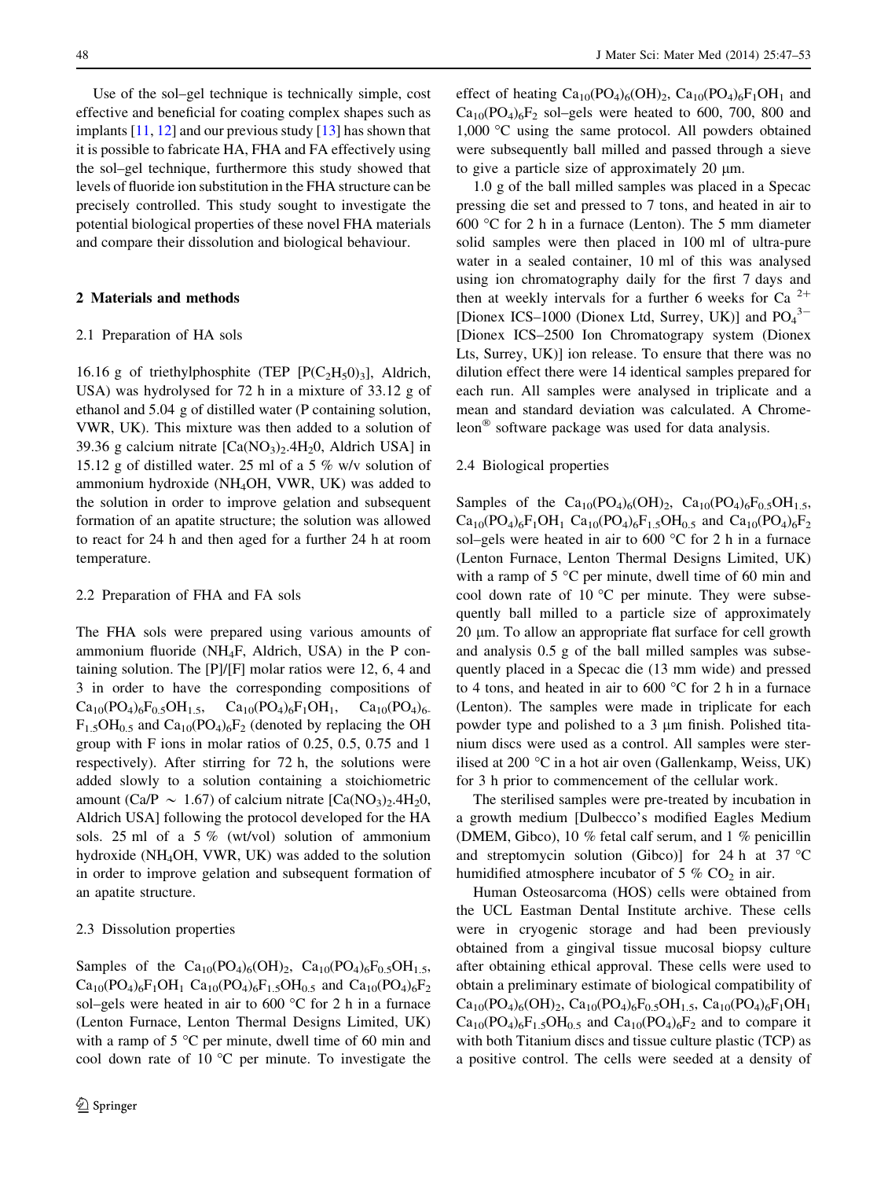Use of the sol–gel technique is technically simple, cost effective and beneficial for coating complex shapes such as implants  $[11, 12]$  $[11, 12]$  $[11, 12]$  $[11, 12]$  $[11, 12]$  and our previous study  $[13]$  $[13]$  has shown that it is possible to fabricate HA, FHA and FA effectively using the sol–gel technique, furthermore this study showed that levels of fluoride ion substitution in the FHA structure can be precisely controlled. This study sought to investigate the potential biological properties of these novel FHA materials and compare their dissolution and biological behaviour.

# 2 Materials and methods

# 2.1 Preparation of HA sols

16.16 g of triethylphosphite (TEP  $[P(C_2H_5O)_3]$ , Aldrich, USA) was hydrolysed for 72 h in a mixture of 33.12 g of ethanol and 5.04 g of distilled water (P containing solution, VWR, UK). This mixture was then added to a solution of 39.36 g calcium nitrate  $[Ca(NO<sub>3</sub>)<sub>2</sub>$ .4H<sub>2</sub>0, Aldrich USA] in 15.12 g of distilled water. 25 ml of a 5 % w/v solution of ammonium hydroxide (NH4OH, VWR, UK) was added to the solution in order to improve gelation and subsequent formation of an apatite structure; the solution was allowed to react for 24 h and then aged for a further 24 h at room temperature.

#### 2.2 Preparation of FHA and FA sols

The FHA sols were prepared using various amounts of ammonium fluoride (NH4F, Aldrich, USA) in the P containing solution. The [P]/[F] molar ratios were 12, 6, 4 and 3 in order to have the corresponding compositions of  $Ca_{10}(PO_4)_6F_{0.5}OH_{1.5}$ ,  $Ca_{10}(PO_4)_6F_1OH_1$ ,  $Ca_{10}(PO_4)_6$ .  $F_{1.5}OH_{0.5}$  and  $Ca_{10}(PO_4)_6F_2$  (denoted by replacing the OH group with F ions in molar ratios of 0.25, 0.5, 0.75 and 1 respectively). After stirring for 72 h, the solutions were added slowly to a solution containing a stoichiometric amount (Ca/P  $\sim 1.67$ ) of calcium nitrate [Ca(NO<sub>3</sub>)<sub>2</sub>.4H<sub>2</sub>0, Aldrich USA] following the protocol developed for the HA sols. 25 ml of a 5 % (wt/vol) solution of ammonium hydroxide (NH4OH, VWR, UK) was added to the solution in order to improve gelation and subsequent formation of an apatite structure.

# 2.3 Dissolution properties

Samples of the  $Ca_{10}(PO_4)_6(OH)_2$ ,  $Ca_{10}(PO_4)_6F_{0.5}OH_{1.5}$ ,  $Ca_{10}(PO_4)_{6}F_1OH_1 Ca_{10}(PO_4)_{6}F_15OH_05$  and  $Ca_{10}(PO_4)_{6}F_2$ sol–gels were heated in air to 600  $\degree$ C for 2 h in a furnace (Lenton Furnace, Lenton Thermal Designs Limited, UK) with a ramp of  $5^{\circ}$ C per minute, dwell time of 60 min and cool down rate of  $10^{\circ}$ C per minute. To investigate the effect of heating  $Ca_{10}(PO_4)_6(OH)_2$ ,  $Ca_{10}(PO_4)_6F_1OH_1$  and  $Ca_{10}(PO_4)_6F_2$  sol–gels were heated to 600, 700, 800 and 1,000 C using the same protocol. All powders obtained were subsequently ball milled and passed through a sieve to give a particle size of approximately 20  $\mu$ m.

1.0 g of the ball milled samples was placed in a Specac pressing die set and pressed to 7 tons, and heated in air to 600 °C for 2 h in a furnace (Lenton). The 5 mm diameter solid samples were then placed in 100 ml of ultra-pure water in a sealed container, 10 ml of this was analysed using ion chromatography daily for the first 7 days and then at weekly intervals for a further 6 weeks for Ca  $2+$ [Dionex ICS-1000 (Dionex Ltd, Surrey, UK)] and  $PO_4^3$ <sup>-</sup> [Dionex ICS–2500 Ion Chromatograpy system (Dionex Lts, Surrey, UK)] ion release. To ensure that there was no dilution effect there were 14 identical samples prepared for each run. All samples were analysed in triplicate and a mean and standard deviation was calculated. A Chromeleon<sup> $\infty$ </sup> software package was used for data analysis.

# 2.4 Biological properties

Samples of the  $Ca_{10}(PO_4)_6(OH)_2$ ,  $Ca_{10}(PO_4)_6F_{0.5}OH_{1.5}$ ,  $Ca_{10}(PO_4)_{6}F_1OH_1 Ca_{10}(PO_4)_{6}F_15OH_05$  and  $Ca_{10}(PO_4)_{6}F_2$ sol–gels were heated in air to 600  $\degree$ C for 2 h in a furnace (Lenton Furnace, Lenton Thermal Designs Limited, UK) with a ramp of  $5^{\circ}$ C per minute, dwell time of 60 min and cool down rate of 10  $^{\circ}$ C per minute. They were subsequently ball milled to a particle size of approximately 20 lm. To allow an appropriate flat surface for cell growth and analysis 0.5 g of the ball milled samples was subsequently placed in a Specac die (13 mm wide) and pressed to 4 tons, and heated in air to 600  $\degree$ C for 2 h in a furnace (Lenton). The samples were made in triplicate for each powder type and polished to a 3 lm finish. Polished titanium discs were used as a control. All samples were sterilised at 200  $\degree$ C in a hot air oven (Gallenkamp, Weiss, UK) for 3 h prior to commencement of the cellular work.

The sterilised samples were pre-treated by incubation in a growth medium [Dulbecco's modified Eagles Medium (DMEM, Gibco), 10 % fetal calf serum, and 1 % penicillin and streptomycin solution (Gibco)] for 24 h at 37  $^{\circ}$ C humidified atmosphere incubator of 5 %  $CO<sub>2</sub>$  in air.

Human Osteosarcoma (HOS) cells were obtained from the UCL Eastman Dental Institute archive. These cells were in cryogenic storage and had been previously obtained from a gingival tissue mucosal biopsy culture after obtaining ethical approval. These cells were used to obtain a preliminary estimate of biological compatibility of  $Ca_{10}(PO_4)_6(OH)_2$ ,  $Ca_{10}(PO_4)_6F_{0.5}OH_{1.5}$ ,  $Ca_{10}(PO_4)_6F_1OH_1$  $Ca_{10}(PO_4)_6F_{1.5}OH_{0.5}$  and  $Ca_{10}(PO_4)_6F_2$  and to compare it with both Titanium discs and tissue culture plastic (TCP) as a positive control. The cells were seeded at a density of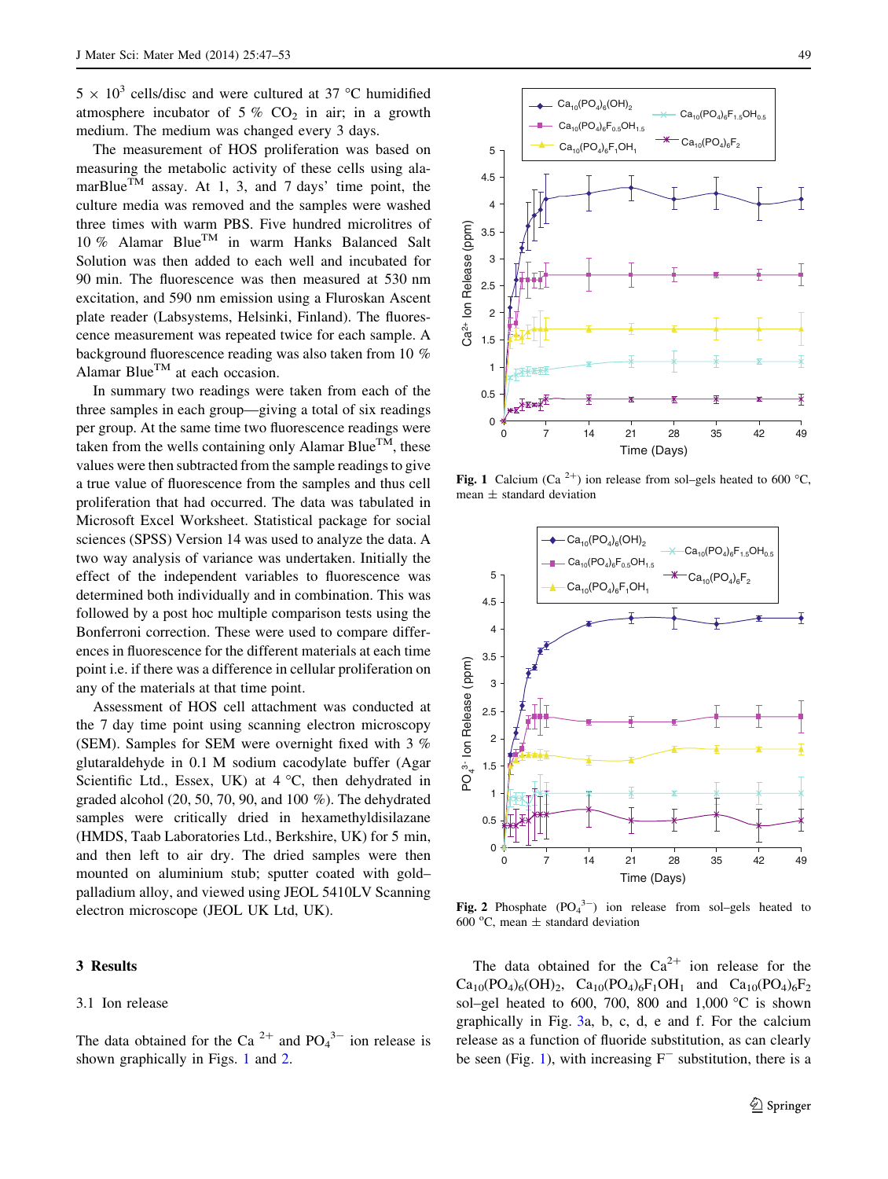<span id="page-2-0"></span> $5 \times 10^3$  cells/disc and were cultured at 37 °C humidified atmosphere incubator of 5 %  $CO<sub>2</sub>$  in air; in a growth medium. The medium was changed every 3 days.

The measurement of HOS proliferation was based on measuring the metabolic activity of these cells using alamarBlue<sup>TM</sup> assay. At 1, 3, and 7 days' time point, the culture media was removed and the samples were washed three times with warm PBS. Five hundred microlitres of 10 % Alamar Blue<sup>TM</sup> in warm Hanks Balanced Salt Solution was then added to each well and incubated for 90 min. The fluorescence was then measured at 530 nm excitation, and 590 nm emission using a Fluroskan Ascent plate reader (Labsystems, Helsinki, Finland). The fluorescence measurement was repeated twice for each sample. A background fluorescence reading was also taken from 10 % Alamar Blue<sup>TM</sup> at each occasion.

In summary two readings were taken from each of the three samples in each group—giving a total of six readings per group. At the same time two fluorescence readings were taken from the wells containing only Alamar Blue<sup>TM</sup>, these values were then subtracted from the sample readings to give a true value of fluorescence from the samples and thus cell proliferation that had occurred. The data was tabulated in Microsoft Excel Worksheet. Statistical package for social sciences (SPSS) Version 14 was used to analyze the data. A two way analysis of variance was undertaken. Initially the effect of the independent variables to fluorescence was determined both individually and in combination. This was followed by a post hoc multiple comparison tests using the Bonferroni correction. These were used to compare differences in fluorescence for the different materials at each time point i.e. if there was a difference in cellular proliferation on any of the materials at that time point.

Assessment of HOS cell attachment was conducted at the 7 day time point using scanning electron microscopy (SEM). Samples for SEM were overnight fixed with 3 % glutaraldehyde in 0.1 M sodium cacodylate buffer (Agar Scientific Ltd., Essex, UK) at  $4 °C$ , then dehydrated in graded alcohol (20, 50, 70, 90, and 100 %). The dehydrated samples were critically dried in hexamethyldisilazane (HMDS, Taab Laboratories Ltd., Berkshire, UK) for 5 min, and then left to air dry. The dried samples were then mounted on aluminium stub; sputter coated with gold– palladium alloy, and viewed using JEOL 5410LV Scanning electron microscope (JEOL UK Ltd, UK).

# 3 Results

# 3.1 Ion release

The data obtained for the Ca<sup>2+</sup> and  $PO<sub>4</sub><sup>3-</sup>$  ion release is shown graphically in Figs. 1 and 2.



Fig. 1 Calcium (Ca<sup>2+</sup>) ion release from sol–gels heated to 600 °C, mean  $\pm$  standard deviation



Fig. 2 Phosphate  $(PO<sub>4</sub><sup>3-</sup>)$  ion release from sol-gels heated to 600 °C, mean  $\pm$  standard deviation

The data obtained for the  $Ca^{2+}$  ion release for the  $Ca_{10}(PO_4)_6(OH)_2$ ,  $Ca_{10}(PO_4)_6F_1OH_1$  and  $Ca_{10}(PO_4)_6F_2$ sol–gel heated to 600, 700, 800 and 1,000  $\degree$ C is shown graphically in Fig. [3](#page-3-0)a, b, c, d, e and f. For the calcium release as a function of fluoride substitution, as can clearly be seen (Fig. 1), with increasing  $F^-$  substitution, there is a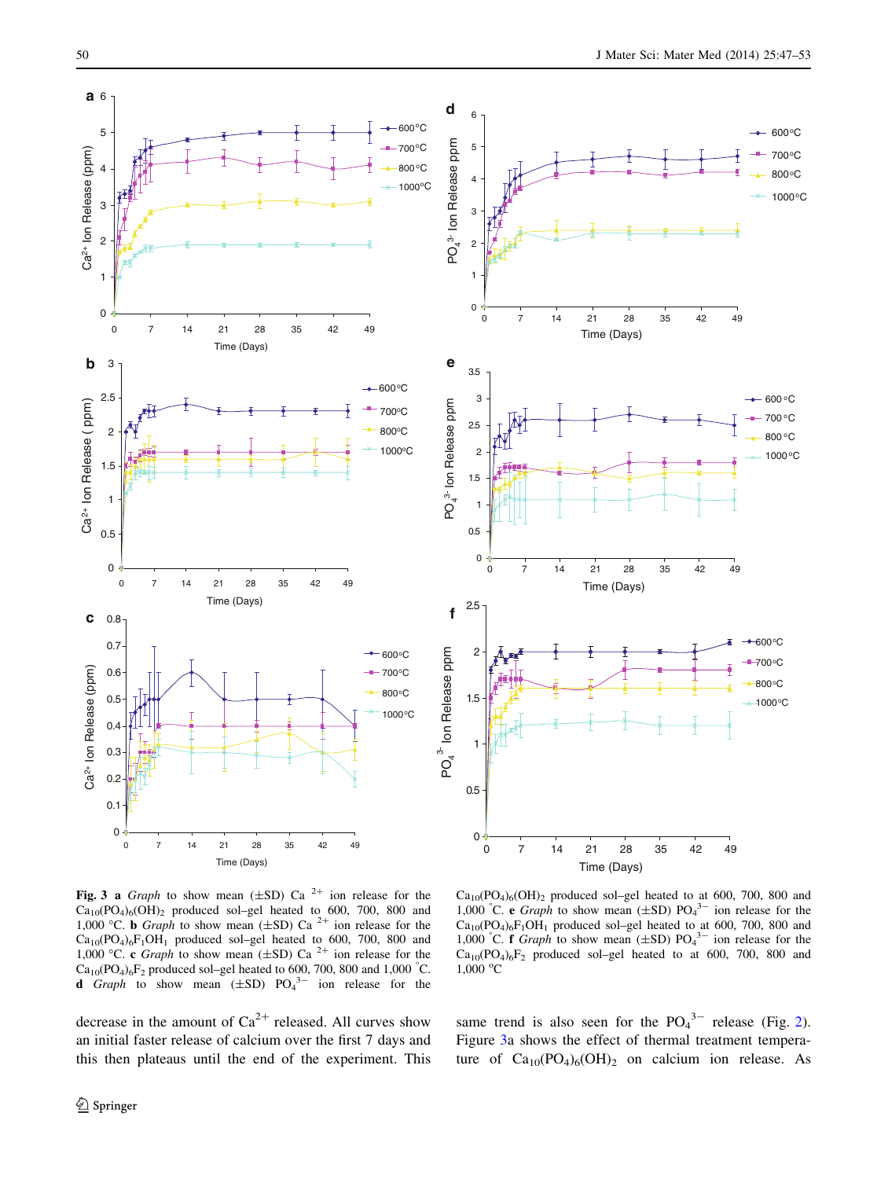$600^{\circ}$ C 700oC 800°C 1000oC

<span id="page-3-0"></span>

0 7 14 21 28 35 42 49 Time (Days) 0 7 14 21 28 35 42 49 Time (Days)  $-600 °C$ 700 oC 800 oC 1000oC 0 7 14 21 28 35 42 49 Time (Days) 600oC  $700°C$ 800oC  $*1000°C$  $Ca_{10}(PO_4)_6(OH)_2$  produced sol–gel heated to at 600, 700, 800 and 1,000 °C. e Graph to show mean  $(\pm SD)$  PO<sub>4</sub><sup>3-</sup> ion release for the

Fig. 3 a Graph to show mean  $(\pm SD)$  Ca<sup>2+</sup> ion release for the  $Ca_{10}(PO_4)_6(OH)_2$  produced sol-gel heated to 600, 700, 800 and 1,000 °C. **b** Graph to show mean  $(\pm SD)$  Ca<sup>2+</sup> ion release for the Ca<sub>10</sub>(PO<sub>4</sub>)<sub>6</sub>F<sub>1</sub>OH<sub>1</sub> produced sol–gel heated to 600, 700, 800 and 1,000 °C. c *Graph* to show mean ( $\pm$ SD) Ca<sup>2+</sup> ion release for the  $Ca_{10}(PO_4)_6F_2$  produced sol–gel heated to 600, 700, 800 and 1,000 °C. **d** Graph to show mean  $(\pm SD)$  PO<sub>4</sub><sup>3-</sup> ion release for the

same trend is also seen for the  $PO_4^{3-}$  release (Fig. [2](#page-2-0)).

1,000 °C

 $Ca_{10}(PO_4)_6F_1OH_1$  produced sol–gel heated to at 600, 700, 800 and 1,000 °C. **f** Graph to show mean  $(\pm SD)$  PO<sub>4</sub><sup>3-</sup> ion release for the  $Ca_{10}(PO_4)_6F_2$  produced sol–gel heated to at 600, 700, 800 and

decrease in the amount of  $Ca^{2+}$  released. All curves show an initial faster release of calcium over the first 7 days and this then plateaus until the end of the experiment. This Figure 3a shows the effect of thermal treatment temperature of  $Ca_{10}(PO_4)_6(OH)_2$  on calcium ion release. As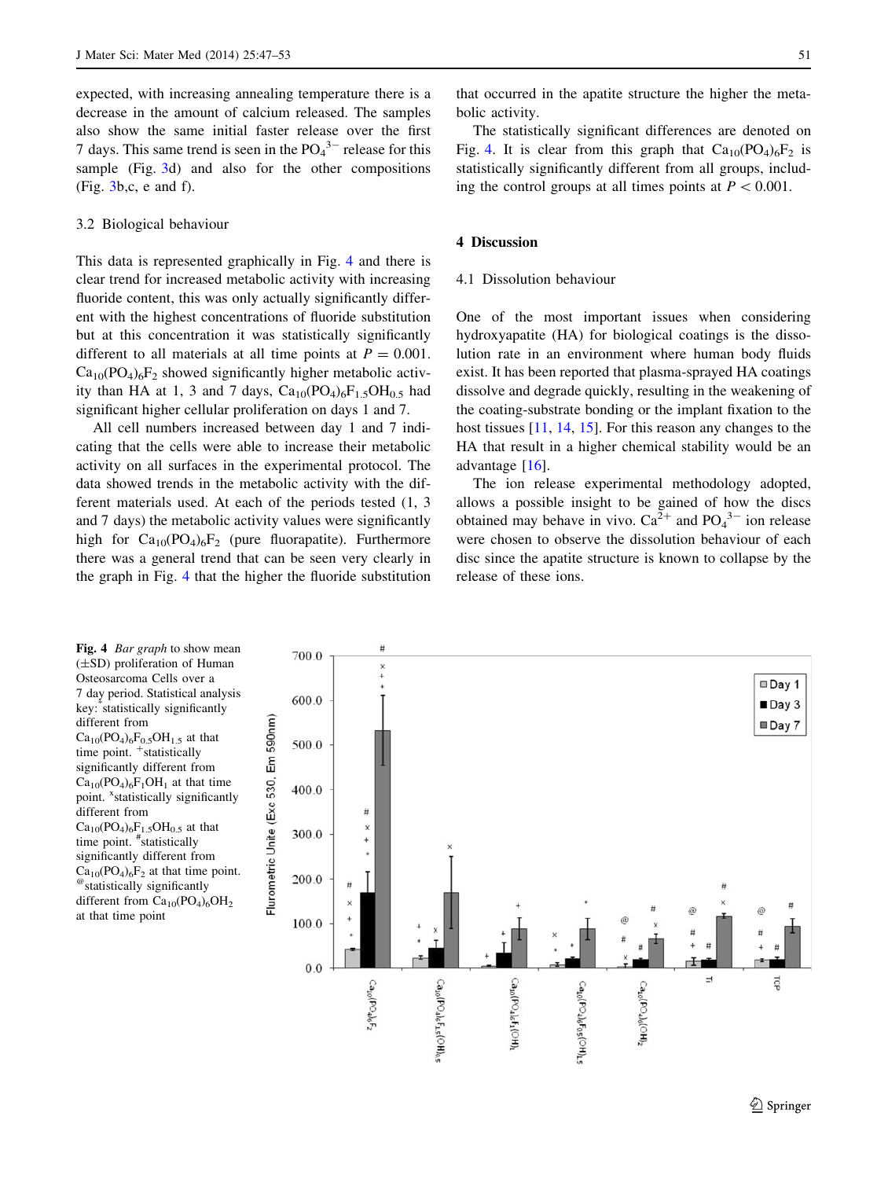expected, with increasing annealing temperature there is a decrease in the amount of calcium released. The samples also show the same initial faster release over the first 7 days. This same trend is seen in the  $PO_4^{3-}$  release for this sample (Fig. [3](#page-3-0)d) and also for the other compositions (Fig. [3](#page-3-0)b,c, e and f).

#### 3.2 Biological behaviour

This data is represented graphically in Fig. 4 and there is clear trend for increased metabolic activity with increasing fluoride content, this was only actually significantly different with the highest concentrations of fluoride substitution but at this concentration it was statistically significantly different to all materials at all time points at  $P = 0.001$ .  $Ca_{10}(PO_4)_6F_2$  showed significantly higher metabolic activity than HA at 1, 3 and 7 days,  $Ca_{10}(PO_4)_6F_1$ ,  $OH_0$ , had significant higher cellular proliferation on days 1 and 7.

All cell numbers increased between day 1 and 7 indicating that the cells were able to increase their metabolic activity on all surfaces in the experimental protocol. The data showed trends in the metabolic activity with the different materials used. At each of the periods tested (1, 3 and 7 days) the metabolic activity values were significantly high for  $Ca_{10}(PO_4)_6F_2$  (pure fluorapatite). Furthermore there was a general trend that can be seen very clearly in the graph in Fig. 4 that the higher the fluoride substitution

that occurred in the apatite structure the higher the metabolic activity.

The statistically significant differences are denoted on Fig. 4. It is clear from this graph that  $Ca_{10}(PO_4)_6F_2$  is statistically significantly different from all groups, including the control groups at all times points at  $P < 0.001$ .

# 4 Discussion

# 4.1 Dissolution behaviour

One of the most important issues when considering hydroxyapatite (HA) for biological coatings is the dissolution rate in an environment where human body fluids exist. It has been reported that plasma-sprayed HA coatings dissolve and degrade quickly, resulting in the weakening of the coating-substrate bonding or the implant fixation to the host tissues [\[11](#page-6-0), [14](#page-6-0), [15](#page-6-0)]. For this reason any changes to the HA that result in a higher chemical stability would be an advantage [\[16](#page-6-0)].

The ion release experimental methodology adopted, allows a possible insight to be gained of how the discs obtained may behave in vivo.  $Ca^{2+}$  and  $PO_4^{3-}$  ion release were chosen to observe the dissolution behaviour of each disc since the apatite structure is known to collapse by the release of these ions.

(±SD) proliferation of Human Osteosarcoma Cells over a 7 day period. Statistical analysis key:\* statistically significantly different from  $Ca_{10}(PO_4)_6F_{0.5}OH_{1.5}$  at that time point. <sup>+</sup>statistically significantly different from  $Ca_{10}(PO_4)_6F_1OH_1$  at that time point. <sup>x</sup>statistically significantly different from  $Ca_{10}(PO_4)_6F_{1.5}OH_{0.5}$  at that time point. # statistically significantly different from  $Ca_{10}(PO_4)_6F_2$  at that time point.<br>
<sup>@</sup>statistically significantly different from Ca<sub>10</sub>(PO<sub>4</sub>)<sub>6</sub>OH<sub>2</sub> at that time point

Fig. 4 *Bar graph* to show mean

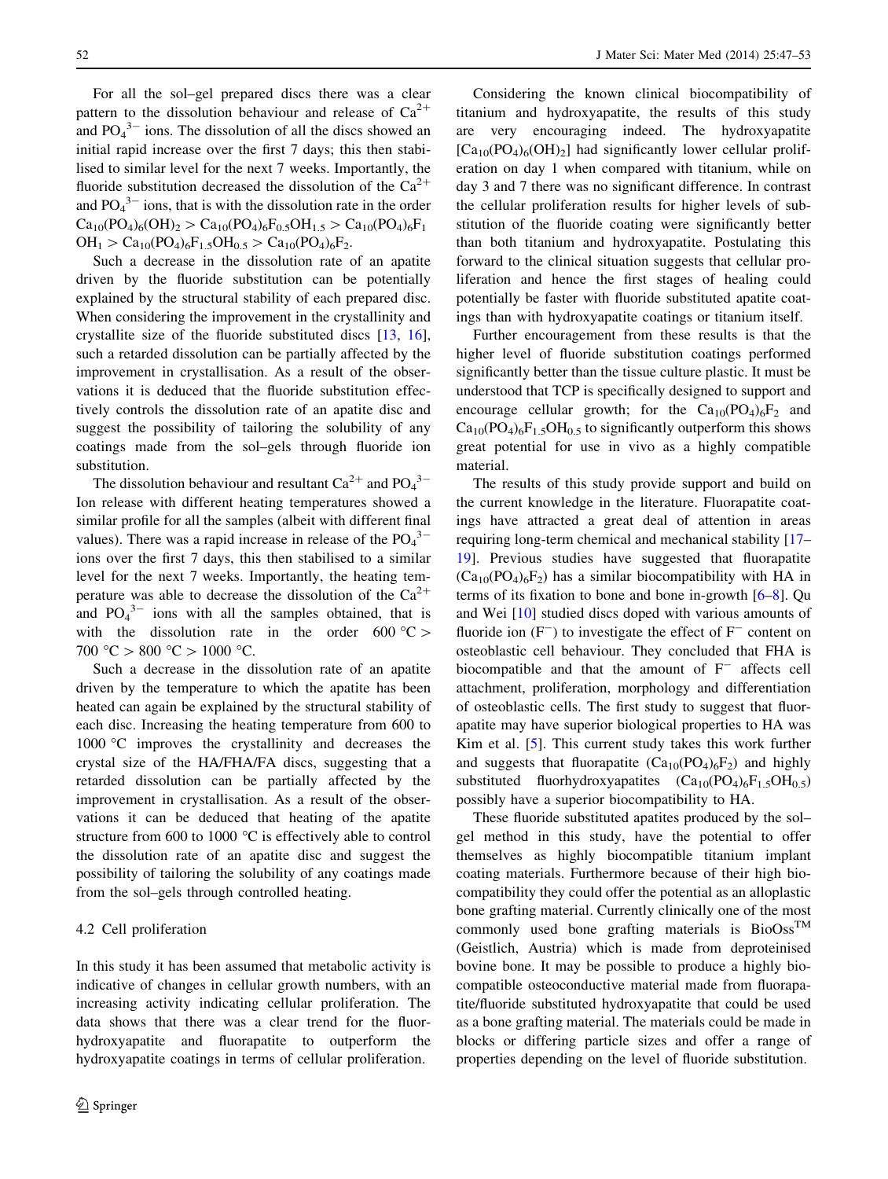For all the sol–gel prepared discs there was a clear pattern to the dissolution behaviour and release of  $Ca^{2+}$ and  $PO_4^{3-}$  ions. The dissolution of all the discs showed an initial rapid increase over the first 7 days; this then stabilised to similar level for the next 7 weeks. Importantly, the fluoride substitution decreased the dissolution of the  $Ca^{2+}$ and  $PO_4^{3-}$  ions, that is with the dissolution rate in the order  $Ca_{10}(PO_4)_6(OH)_2 > Ca_{10}(PO_4)_6F_{0.5}OH_{1.5} > Ca_{10}(PO_4)_6F_1$  $OH_1 > Ca_{10}(PO_4)_6F_1$ ,  $OH_0$ ,  $\geq Ca_{10}(PO_4)_6F_2$ .

Such a decrease in the dissolution rate of an apatite driven by the fluoride substitution can be potentially explained by the structural stability of each prepared disc. When considering the improvement in the crystallinity and crystallite size of the fluoride substituted discs [\[13](#page-6-0), [16](#page-6-0)], such a retarded dissolution can be partially affected by the improvement in crystallisation. As a result of the observations it is deduced that the fluoride substitution effectively controls the dissolution rate of an apatite disc and suggest the possibility of tailoring the solubility of any coatings made from the sol–gels through fluoride ion substitution.

The dissolution behaviour and resultant  $Ca^{2+}$  and  $PO_4^{3-}$ Ion release with different heating temperatures showed a similar profile for all the samples (albeit with different final values). There was a rapid increase in release of the  $PO_4^3$ <sup>-</sup> ions over the first 7 days, this then stabilised to a similar level for the next 7 weeks. Importantly, the heating temperature was able to decrease the dissolution of the  $Ca^{2+}$ and  $PO_4^{3-}$  ions with all the samples obtained, that is with the dissolution rate in the order  $600^{\circ}$ C > 700 °C > 800 °C > 1000 °C.

Such a decrease in the dissolution rate of an apatite driven by the temperature to which the apatite has been heated can again be explained by the structural stability of each disc. Increasing the heating temperature from 600 to 1000 °C improves the crystallinity and decreases the crystal size of the HA/FHA/FA discs, suggesting that a retarded dissolution can be partially affected by the improvement in crystallisation. As a result of the observations it can be deduced that heating of the apatite structure from 600 to 1000 $\degree$ C is effectively able to control the dissolution rate of an apatite disc and suggest the possibility of tailoring the solubility of any coatings made from the sol–gels through controlled heating.

# 4.2 Cell proliferation

In this study it has been assumed that metabolic activity is indicative of changes in cellular growth numbers, with an increasing activity indicating cellular proliferation. The data shows that there was a clear trend for the fluorhydroxyapatite and fluorapatite to outperform the hydroxyapatite coatings in terms of cellular proliferation.

Considering the known clinical biocompatibility of titanium and hydroxyapatite, the results of this study are very encouraging indeed. The hydroxyapatite  $[Ca_{10}(PO_4)_6(OH)_2]$  had significantly lower cellular proliferation on day 1 when compared with titanium, while on day 3 and 7 there was no significant difference. In contrast the cellular proliferation results for higher levels of substitution of the fluoride coating were significantly better than both titanium and hydroxyapatite. Postulating this forward to the clinical situation suggests that cellular proliferation and hence the first stages of healing could potentially be faster with fluoride substituted apatite coatings than with hydroxyapatite coatings or titanium itself.

Further encouragement from these results is that the higher level of fluoride substitution coatings performed significantly better than the tissue culture plastic. It must be understood that TCP is specifically designed to support and encourage cellular growth; for the  $Ca_{10}(PO_4)_6F_2$  and  $Ca_{10}(PO_4)_6F_{1.5}OH_{0.5}$  to significantly outperform this shows great potential for use in vivo as a highly compatible material.

The results of this study provide support and build on the current knowledge in the literature. Fluorapatite coatings have attracted a great deal of attention in areas requiring long-term chemical and mechanical stability [\[17](#page-6-0)– [19](#page-6-0)]. Previous studies have suggested that fluorapatite  $(Ca_{10}(PO_4)_6F_2)$  has a similar biocompatibility with HA in terms of its fixation to bone and bone in-growth [\[6–8](#page-6-0)]. Qu and Wei [[10\]](#page-6-0) studied discs doped with various amounts of fluoride ion  $(F^-)$  to investigate the effect of  $F^-$  content on osteoblastic cell behaviour. They concluded that FHA is biocompatible and that the amount of  $F^-$  affects cell attachment, proliferation, morphology and differentiation of osteoblastic cells. The first study to suggest that fluorapatite may have superior biological properties to HA was Kim et al. [[5\]](#page-6-0). This current study takes this work further and suggests that fluorapatite  $(Ca_{10}(PO_4)_6F_2)$  and highly substituted fluorhydroxyapatites  $(Ca_{10}(PO_4)_6F_{1.5}OH_{0.5})$ possibly have a superior biocompatibility to HA.

These fluoride substituted apatites produced by the sol– gel method in this study, have the potential to offer themselves as highly biocompatible titanium implant coating materials. Furthermore because of their high biocompatibility they could offer the potential as an alloplastic bone grafting material. Currently clinically one of the most commonly used bone grafting materials is  $\text{BioOss}^{\text{TM}}$ (Geistlich, Austria) which is made from deproteinised bovine bone. It may be possible to produce a highly biocompatible osteoconductive material made from fluorapatite/fluoride substituted hydroxyapatite that could be used as a bone grafting material. The materials could be made in blocks or differing particle sizes and offer a range of properties depending on the level of fluoride substitution.